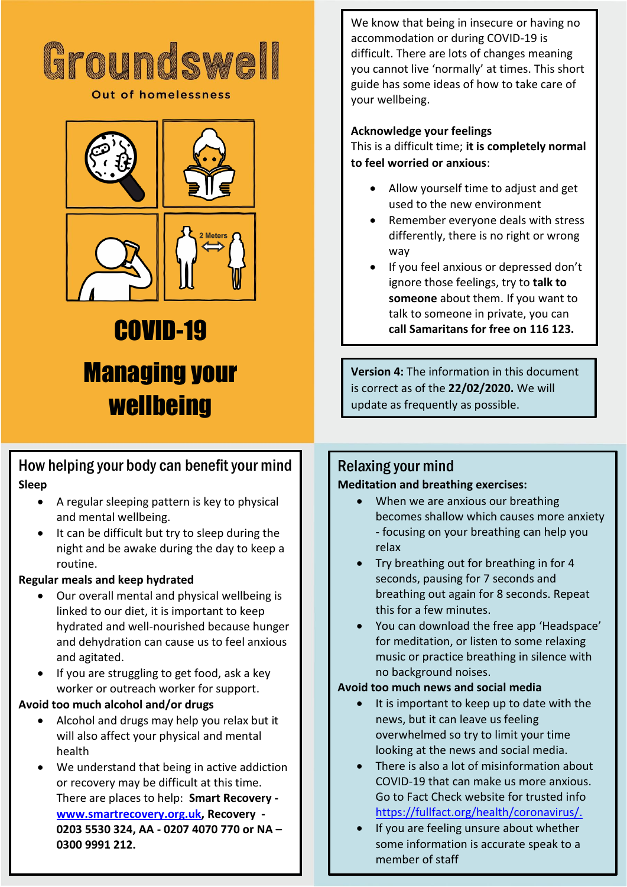

#### **Out of homelessness**



# COVID-19 Managing your **wellbeing**

# How helping your body can benefit your mind **Sleep**

- A regular sleeping pattern is key to physical and mental wellbeing.
- It can be difficult but try to sleep during the night and be awake during the day to keep a routine.

#### **Regular meals and keep hydrated**

- Our overall mental and physical wellbeing is linked to our diet, it is important to keep hydrated and well-nourished because hunger and dehydration can cause us to feel anxious and agitated.
- If you are struggling to get food, ask a key worker or outreach worker for support.

#### **Avoid too much alcohol and/or drugs**

- Alcohol and drugs may help you relax but it will also affect your physical and mental health
- We understand that being in active addiction or recovery may be difficult at this time. There are places to help: **Smart Recovery [www.smartrecovery.org.uk,](http://www.smartrecovery.org.uk/) Recovery - 0203 5530 324, AA - 0207 4070 770 or NA – 0300 9991 212.**

We know that being in insecure or having no accommodation or during COVID-19 is difficult. There are lots of changes meaning you cannot live 'normally' at times. This short guide has some ideas of how to take care of your wellbeing.

# **Acknowledge your feelings**

This is a difficult time; **it is completely normal to feel worried or anxious**:

- Allow yourself time to adjust and get used to the new environment
- Remember everyone deals with stress differently, there is no right or wrong way
- If you feel anxious or depressed don't ignore those feelings, try to **talk to someone** about them. If you want to talk to someone in private, you can **call Samaritans for free on 116 123.**

**Version 4:** The information in this document is correct as of the **22/02/2020.** We will update as frequently as possible.

# Relaxing your mind

#### **Meditation and breathing exercises:**

- When we are anxious our breathing becomes shallow which causes more anxiety - focusing on your breathing can help you relax
- Try breathing out for breathing in for 4 seconds, pausing for 7 seconds and breathing out again for 8 seconds. Repeat this for a few minutes.
- You can download the free app 'Headspace' for meditation, or listen to some relaxing music or practice breathing in silence with no background noises.

#### **Avoid too much news and social media**

- It is important to keep up to date with the news, but it can leave us feeling overwhelmed so try to limit your time looking at the news and social media.
- There is also a lot of misinformation about COVID-19 that can make us more anxious. Go to Fact Check website for trusted info [https://fullfact.org/health/coronavirus/.](https://fullfact.org/health/coronavirus/)
- If you are feeling unsure about whether some information is accurate speak to a member of staff